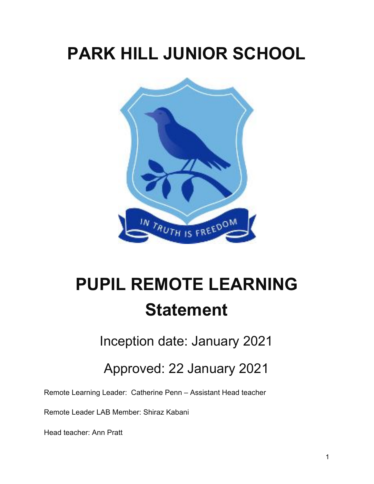# **PARK HILL JUNIOR SCHOOL**



# **PUPIL REMOTE LEARNING Statement**

Inception date: January 2021

Approved: 22 January 2021

Remote Learning Leader: Catherine Penn – Assistant Head teacher

Remote Leader LAB Member: Shiraz Kabani

Head teacher: Ann Pratt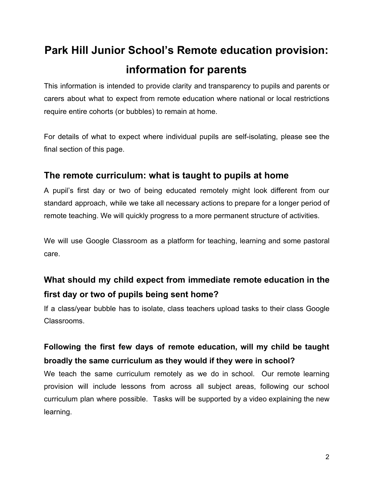# **Park Hill Junior School's Remote education provision: information for parents**

This information is intended to provide clarity and transparency to pupils and parents or carers about what to expect from remote education where national or local restrictions require entire cohorts (or bubbles) to remain at home.

For details of what to expect where individual pupils are self-isolating, please see the final section of this page.

#### **The remote curriculum: what is taught to pupils at home**

A pupil's first day or two of being educated remotely might look different from our standard approach, while we take all necessary actions to prepare for a longer period of remote teaching. We will quickly progress to a more permanent structure of activities.

We will use Google Classroom as a platform for teaching, learning and some pastoral care.

# **What should my child expect from immediate remote education in the first day or two of pupils being sent home?**

If a class/year bubble has to isolate, class teachers upload tasks to their class Google Classrooms.

#### **Following the first few days of remote education, will my child be taught broadly the same curriculum as they would if they were in school?**

We teach the same curriculum remotely as we do in school. Our remote learning provision will include lessons from across all subject areas, following our school curriculum plan where possible. Tasks will be supported by a video explaining the new learning.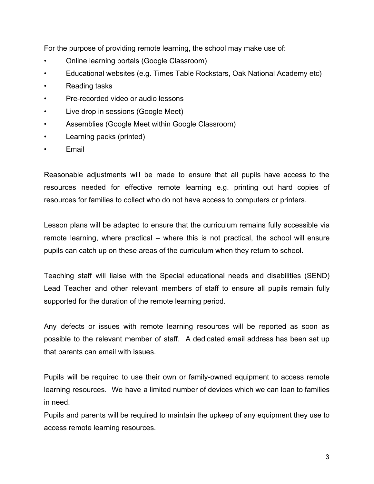For the purpose of providing remote learning, the school may make use of:

- Online learning portals (Google Classroom)
- Educational websites (e.g. Times Table Rockstars, Oak National Academy etc)
- Reading tasks
- Pre-recorded video or audio lessons
- Live drop in sessions (Google Meet)
- Assemblies (Google Meet within Google Classroom)
- Learning packs (printed)
- **Email**

Reasonable adjustments will be made to ensure that all pupils have access to the resources needed for effective remote learning e.g. printing out hard copies of resources for families to collect who do not have access to computers or printers.

Lesson plans will be adapted to ensure that the curriculum remains fully accessible via remote learning, where practical – where this is not practical, the school will ensure pupils can catch up on these areas of the curriculum when they return to school.

Teaching staff will liaise with the Special educational needs and disabilities (SEND) Lead Teacher and other relevant members of staff to ensure all pupils remain fully supported for the duration of the remote learning period.

Any defects or issues with remote learning resources will be reported as soon as possible to the relevant member of staff. A dedicated email address has been set up that parents can email with issues.

Pupils will be required to use their own or family-owned equipment to access remote learning resources. We have a limited number of devices which we can loan to families in need.

Pupils and parents will be required to maintain the upkeep of any equipment they use to access remote learning resources.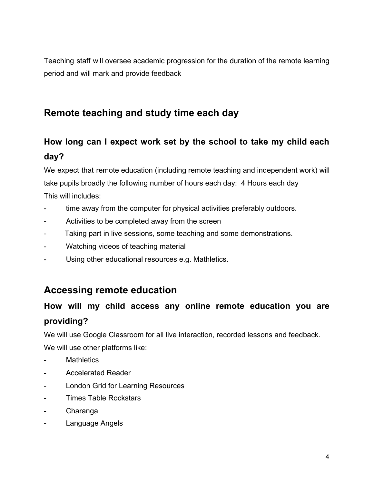Teaching staff will oversee academic progression for the duration of the remote learning period and will mark and provide feedback

# **Remote teaching and study time each day**

# **How long can I expect work set by the school to take my child each day?**

We expect that remote education (including remote teaching and independent work) will take pupils broadly the following number of hours each day: 4 Hours each day This will includes:

- time away from the computer for physical activities preferably outdoors.
- Activities to be completed away from the screen
- Taking part in live sessions, some teaching and some demonstrations.
- Watching videos of teaching material
- Using other educational resources e.g. Mathletics.

#### **Accessing remote education**

#### **How will my child access any online remote education you are providing?**

We will use Google Classroom for all live interaction, recorded lessons and feedback. We will use other platforms like:

- **Mathletics**
- Accelerated Reader
- London Grid for Learning Resources
- Times Table Rockstars
- Charanga
- Language Angels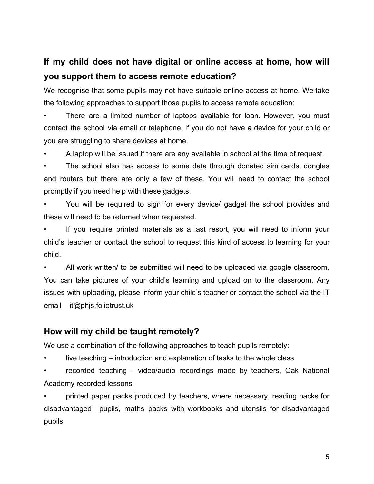# **If my child does not have digital or online access at home, how will you support them to access remote education?**

We recognise that some pupils may not have suitable online access at home. We take the following approaches to support those pupils to access remote education:

• There are a limited number of laptops available for loan. However, you must contact the school via email or telephone, if you do not have a device for your child or you are struggling to share devices at home.

• A laptop will be issued if there are any available in school at the time of request.

The school also has access to some data through donated sim cards, dongles and routers but there are only a few of these. You will need to contact the school promptly if you need help with these gadgets.

• You will be required to sign for every device/ gadget the school provides and these will need to be returned when requested.

If you require printed materials as a last resort, you will need to inform your child's teacher or contact the school to request this kind of access to learning for your child.

• All work written/ to be submitted will need to be uploaded via google classroom. You can take pictures of your child's learning and upload on to the classroom. Any issues with uploading, please inform your child's teacher or contact the school via the IT email – it@phjs.foliotrust.uk

#### **How will my child be taught remotely?**

We use a combination of the following approaches to teach pupils remotely:

live teaching – introduction and explanation of tasks to the whole class

recorded teaching - video/audio recordings made by teachers, Oak National Academy recorded lessons

• printed paper packs produced by teachers, where necessary, reading packs for disadvantaged pupils, maths packs with workbooks and utensils for disadvantaged pupils.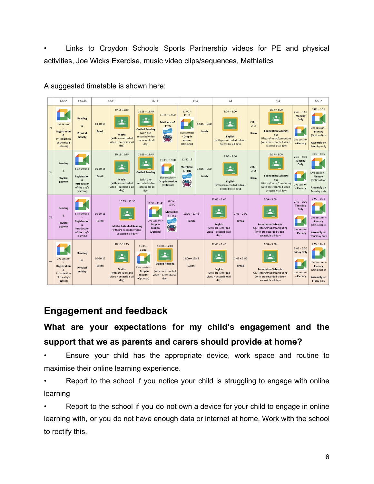• Links to Croydon Schools Sports Partnership videos for PE and physical activities, Joe Wicks Exercise, music video clips/sequences, Mathletics



A suggested timetable is shown here:

#### **Engagement and feedback**

# **What are your expectations for my child's engagement and the support that we as parents and carers should provide at home?**

- Ensure your child has the appropriate device, work space and routine to maximise their online learning experience.
- Report to the school if you notice your child is struggling to engage with online learning
- Report to the school if you do not own a device for your child to engage in online learning with, or you do not have enough data or internet at home. Work with the school to rectify this.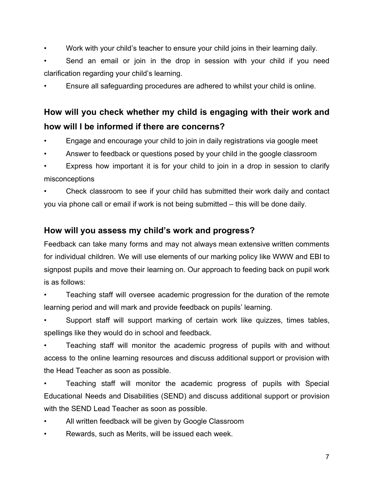- Work with your child's teacher to ensure your child joins in their learning daily.
- Send an email or join in the drop in session with your child if you need clarification regarding your child's learning.
- Ensure all safeguarding procedures are adhered to whilst your child is online.

# **How will you check whether my child is engaging with their work and how will I be informed if there are concerns?**

- Engage and encourage your child to join in daily registrations via google meet
- Answer to feedback or questions posed by your child in the google classroom

Express how important it is for your child to join in a drop in session to clarify misconceptions

• Check classroom to see if your child has submitted their work daily and contact you via phone call or email if work is not being submitted – this will be done daily.

#### **How will you assess my child's work and progress?**

Feedback can take many forms and may not always mean extensive written comments for individual children. We will use elements of our marking policy like WWW and EBI to signpost pupils and move their learning on. Our approach to feeding back on pupil work is as follows:

• Teaching staff will oversee academic progression for the duration of the remote learning period and will mark and provide feedback on pupils' learning.

• Support staff will support marking of certain work like quizzes, times tables, spellings like they would do in school and feedback.

• Teaching staff will monitor the academic progress of pupils with and without access to the online learning resources and discuss additional support or provision with the Head Teacher as soon as possible.

• Teaching staff will monitor the academic progress of pupils with Special Educational Needs and Disabilities (SEND) and discuss additional support or provision with the SEND Lead Teacher as soon as possible.

- All written feedback will be given by Google Classroom
- Rewards, such as Merits, will be issued each week.